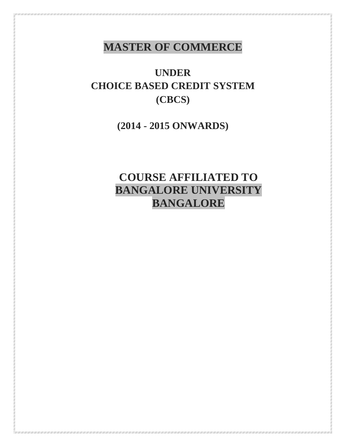## **MASTER OF COMMERCE**

**UNDER CHOICE BASED CREDIT SYSTEM (CBCS)**

**(2014 - 2015 ONWARDS)**

# **COURSE AFFILIATED TO BANGALORE UNIVERSITY BANGALORE**